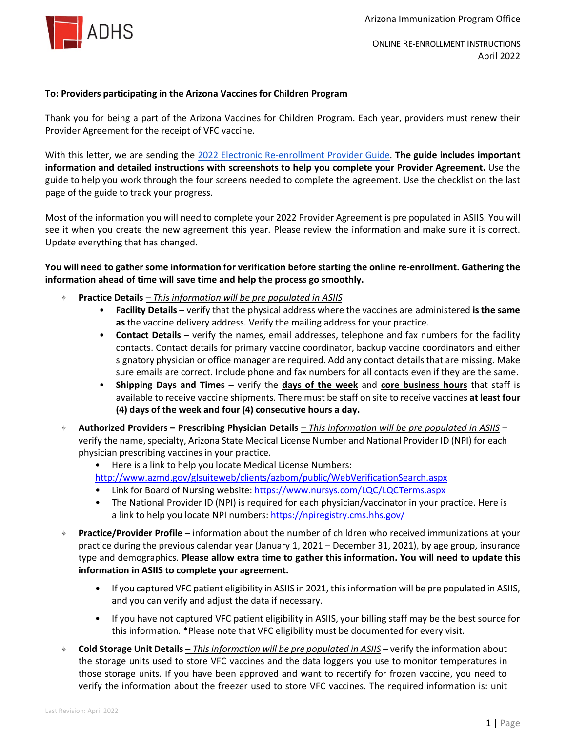

ONLINE RE-ENROLLMENT INSTRUCTIONS April 2022

## **To: Providers participating in the Arizona Vaccines for Children Program**

Thank you for being a part of the Arizona Vaccines for Children Program. Each year, providers must renew their Provider Agreement for the receipt of VFC vaccine.

With this letter, we are sending the [2022 Electronic Re-enrollment Provider Guide.](https://asiis.azdhs.gov/AIPO_Announcements/Re-enrollment/Electronic_Re-enrollment_Provider_Guide.pdf) **The guide includes important information and detailed instructions with screenshots to help you complete your Provider Agreement.** Use the guide to help you work through the four screens needed to complete the agreement. Use the checklist on the last page of the guide to track your progress.

Most of the information you will need to complete your 2022 Provider Agreement is pre populated in ASIIS. You will see it when you create the new agreement this year. Please review the information and make sure it is correct. Update everything that has changed.

## **You will need to gather some information for verification before starting the online re-enrollment. Gathering the information ahead of time will save time and help the process go smoothly.**

- ⌖ **Practice Details** *– This information will be pre populated in ASIIS*
	- **Facility Details** verify that the physical address where the vaccines are administered **is the same as** the vaccine delivery address. Verify the mailing address for your practice.
	- **Contact Details** verify the names, email addresses, telephone and fax numbers for the facility contacts. Contact details for primary vaccine coordinator, backup vaccine coordinators and either signatory physician or office manager are required. Add any contact details that are missing. Make sure emails are correct. Include phone and fax numbers for all contacts even if they are the same.
	- **Shipping Days and Times** verify the **days of the week** and **core business hours** that staff is available to receive vaccine shipments. There must be staff on site to receive vaccines **at least four (4) days of the week and four (4) consecutive hours a day.**
- ⌖ **Authorized Providers – Prescribing Physician Details** *– This information will be pre populated in ASIIS* verify the name, specialty, Arizona State Medical License Number and National Provider ID (NPI) for each physician prescribing vaccines in your practice.
	- Here is a link to help you locate Medical License Numbers: <http://www.azmd.gov/glsuiteweb/clients/azbom/public/WebVerificationSearch.aspx>
	- Link for Board of Nursing website:<https://www.nursys.com/LQC/LQCTerms.aspx>
	- The National Provider ID (NPI) is required for each physician/vaccinator in your practice. Here is a link to help you locate NPI numbers: https://npiregistry.cms.hhs.gov/
- ⌖ **Practice/Provider Profile**  information about the number of children who received immunizations at your practice during the previous calendar year (January 1, 2021 – December 31, 2021), by age group, insurance type and demographics. **Please allow extra time to gather this information. You will need to update this information in ASIIS to complete your agreement.**
	- If you captured VFC patient eligibility in ASIIS in 2021, this information will be pre populated in ASIIS, and you can verify and adjust the data if necessary.
	- If you have not captured VFC patient eligibility in ASIIS, your billing staff may be the best source for this information. \*Please note that VFC eligibility must be documented for every visit.
- ⌖ **Cold Storage Unit Details** *– This information will be pre populated in ASIIS* verify the information about the storage units used to store VFC vaccines and the data loggers you use to monitor temperatures in those storage units. If you have been approved and want to recertify for frozen vaccine, you need to verify the information about the freezer used to store VFC vaccines. The required information is: unit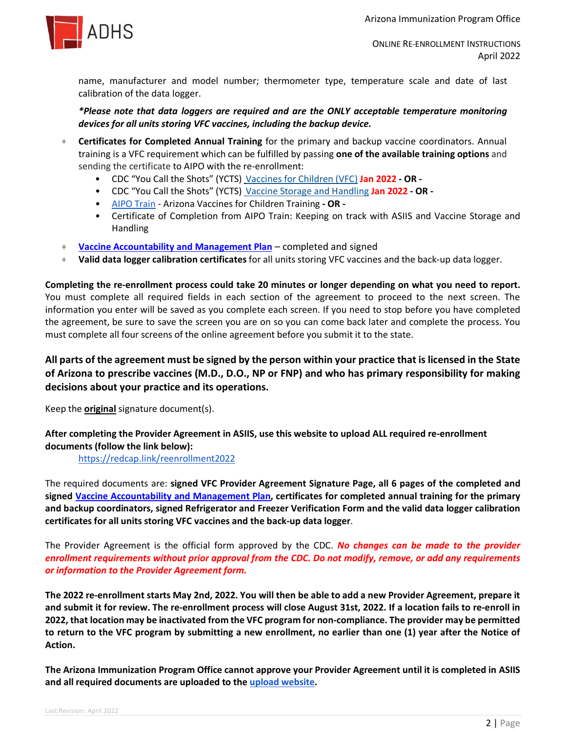

ONLINE RE-ENROLLMENT INSTRUCTIONS April 2022

name, manufacturer and model number; thermometer type, temperature scale and date of last calibration of the data logger.

*\*Please note that data loggers are required and are the ONLY acceptable temperature monitoring devices for all units storing VFC vaccines, including the backup device.*

- ⌖ **Certificates for Completed Annual Training** for the primary and backup vaccine coordinators. Annual training is a VFC requirement which can be fulfilled by passing **one of the available training options** and sending the certificate to AIPO with the re-enrollment:
	- CDC "You Call the Shots" (YCTS) [Vaccines for Children \(VFC\)](https://www2a.cdc.gov/nip/isd/ycts/mod1/courses/vfc/ce.asp) **Jan 2022 - OR -**
	- CDC "You Call the Shots" (YCTS)[Vaccine Storage and Handling](https://www2a.cdc.gov/nip/isd/ycts/mod1/courses/sh/ce.asp) **Jan 2022 - OR -**
	- [AIPO Train](http://www.aipotrain.org/) Arizona Vaccines for Children Training **- OR -**
	- Certificate of Completion from AIPO Train: Keeping on track with ASIIS and Vaccine Storage and Handling
- ⌖ **[Vaccine Accountability and Management Plan](https://azdhs.gov/documents/preparedness/epidemiology-disease-control/immunization/vaccines-for-children/vaccine-management-plan.pdf)** completed and signed
- ⌖ **Valid data logger calibration certificates** for all units storing VFC vaccines and the back-up data logger.

**Completing the re-enrollment process could take 20 minutes or longer depending on what you need to report.** You must complete all required fields in each section of the agreement to proceed to the next screen. The information you enter will be saved as you complete each screen. If you need to stop before you have completed the agreement, be sure to save the screen you are on so you can come back later and complete the process. You must complete all four screens of the online agreement before you submit it to the state.

**All parts of the agreement must be signed by the person within your practice that is licensed in the State of Arizona to prescribe vaccines (M.D., D.O., NP or FNP) and who has primary responsibility for making decisions about your practice and its operations.**

Keep the **original** signature document(s).

**After completing the Provider Agreement in ASIIS, use this website to upload ALL required re-enrollment documents (follow the link below):**

<https://redcap.link/reenrollment2022>

The required documents are: **signed VFC Provider Agreement Signature Page, all 6 pages of the completed and signed [Vaccine Accountability and Management Plan,](https://azdhs.gov/documents/preparedness/epidemiology-disease-control/immunization/vaccines-for-children/vaccine-management-plan.pdf) certificates for completed annual training for the primary and backup coordinators, signed Refrigerator and Freezer Verification Form and the valid data logger calibration certificates for all units storing VFC vaccines and the back-up data logger**.

The Provider Agreement is the official form approved by the CDC. *No changes can be made to the provider enrollment requirements without prior approval from the CDC. Do not modify, remove, or add any requirements or information to the Provider Agreement form.*

**The 2022 re-enrollment starts May 2nd, 2022. You will then be able to add a new Provider Agreement, prepare it and submit it for review. The re-enrollment process will close August 31st, 2022. If a location fails to re-enroll in 2022, that location may be inactivated from the VFC program for non-compliance. The provider may be permitted to return to the VFC program by submitting a new enrollment, no earlier than one (1) year after the Notice of Action.**

**The Arizona Immunization Program Office cannot approve your Provider Agreement until it is completed in ASIIS and all required documents are uploaded to the [upload website.](https://redcap.link/reenrollment2022)**